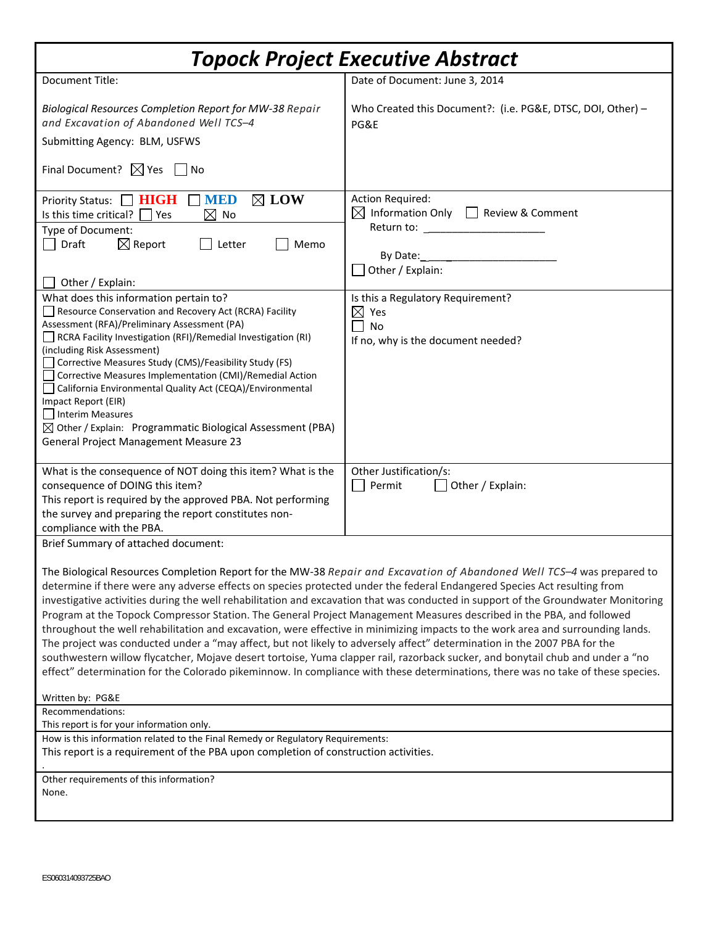| <b>Topock Project Executive Abstract</b>                                                                                                                                                                                                                                                                                                                                                                                                                                                                                                                                                                                                                                                                                                                                                                                                                                                                                                                                                                                                             |                                                                                                                                                     |  |  |
|------------------------------------------------------------------------------------------------------------------------------------------------------------------------------------------------------------------------------------------------------------------------------------------------------------------------------------------------------------------------------------------------------------------------------------------------------------------------------------------------------------------------------------------------------------------------------------------------------------------------------------------------------------------------------------------------------------------------------------------------------------------------------------------------------------------------------------------------------------------------------------------------------------------------------------------------------------------------------------------------------------------------------------------------------|-----------------------------------------------------------------------------------------------------------------------------------------------------|--|--|
| Document Title:                                                                                                                                                                                                                                                                                                                                                                                                                                                                                                                                                                                                                                                                                                                                                                                                                                                                                                                                                                                                                                      | Date of Document: June 3, 2014                                                                                                                      |  |  |
| Biological Resources Completion Report for MW-38 Repair<br>and Excavation of Abandoned Well TCS-4<br>Submitting Agency: BLM, USFWS<br>Final Document? $\boxtimes$ Yes $\Box$ No                                                                                                                                                                                                                                                                                                                                                                                                                                                                                                                                                                                                                                                                                                                                                                                                                                                                      | Who Created this Document?: (i.e. PG&E, DTSC, DOI, Other) -<br>PG&E                                                                                 |  |  |
|                                                                                                                                                                                                                                                                                                                                                                                                                                                                                                                                                                                                                                                                                                                                                                                                                                                                                                                                                                                                                                                      |                                                                                                                                                     |  |  |
| Priority Status: NIGH MED<br>$\boxtimes$ LOW<br>Is this time critical? $\Box$ Yes<br>$\boxtimes$ No<br>Type of Document:<br>$\boxtimes$ Report<br>Memo<br>Draft<br>$\rfloor$ Letter<br>Other / Explain:                                                                                                                                                                                                                                                                                                                                                                                                                                                                                                                                                                                                                                                                                                                                                                                                                                              | <b>Action Required:</b><br>$\boxtimes$ Information Only $\Box$ Review & Comment<br>Return to: _____________________<br>By Date:<br>Other / Explain: |  |  |
| What does this information pertain to?<br>Resource Conservation and Recovery Act (RCRA) Facility<br>Assessment (RFA)/Preliminary Assessment (PA)<br>RCRA Facility Investigation (RFI)/Remedial Investigation (RI)<br>(including Risk Assessment)<br>Corrective Measures Study (CMS)/Feasibility Study (FS)<br>Corrective Measures Implementation (CMI)/Remedial Action<br>California Environmental Quality Act (CEQA)/Environmental<br>Impact Report (EIR)<br>Interim Measures<br>$\boxtimes$ Other / Explain: Programmatic Biological Assessment (PBA)<br><b>General Project Management Measure 23</b>                                                                                                                                                                                                                                                                                                                                                                                                                                              | Is this a Regulatory Requirement?<br>$\boxtimes$ Yes<br><b>No</b><br>If no, why is the document needed?                                             |  |  |
| What is the consequence of NOT doing this item? What is the<br>consequence of DOING this item?<br>This report is required by the approved PBA. Not performing<br>the survey and preparing the report constitutes non-<br>compliance with the PBA.                                                                                                                                                                                                                                                                                                                                                                                                                                                                                                                                                                                                                                                                                                                                                                                                    | Other Justification/s:<br>Permit<br>Other / Explain:                                                                                                |  |  |
| Brief Summary of attached document:                                                                                                                                                                                                                                                                                                                                                                                                                                                                                                                                                                                                                                                                                                                                                                                                                                                                                                                                                                                                                  |                                                                                                                                                     |  |  |
| The Biological Resources Completion Report for the MW-38 Repair and Excavation of Abandoned Well TCS-4 was prepared to<br>determine if there were any adverse effects on species protected under the federal Endangered Species Act resulting from<br>investigative activities during the well rehabilitation and excavation that was conducted in support of the Groundwater Monitoring<br>Program at the Topock Compressor Station. The General Project Management Measures described in the PBA, and followed<br>throughout the well rehabilitation and excavation, were effective in minimizing impacts to the work area and surrounding lands.<br>The project was conducted under a "may affect, but not likely to adversely affect" determination in the 2007 PBA for the<br>southwestern willow flycatcher, Mojave desert tortoise, Yuma clapper rail, razorback sucker, and bonytail chub and under a "no<br>effect" determination for the Colorado pikeminnow. In compliance with these determinations, there was no take of these species. |                                                                                                                                                     |  |  |
| Written by: PG&E                                                                                                                                                                                                                                                                                                                                                                                                                                                                                                                                                                                                                                                                                                                                                                                                                                                                                                                                                                                                                                     |                                                                                                                                                     |  |  |
| Recommendations:<br>This report is for your information only.                                                                                                                                                                                                                                                                                                                                                                                                                                                                                                                                                                                                                                                                                                                                                                                                                                                                                                                                                                                        |                                                                                                                                                     |  |  |
| How is this information related to the Final Remedy or Regulatory Requirements:<br>This report is a requirement of the PBA upon completion of construction activities.                                                                                                                                                                                                                                                                                                                                                                                                                                                                                                                                                                                                                                                                                                                                                                                                                                                                               |                                                                                                                                                     |  |  |
| Other requirements of this information?<br>None.                                                                                                                                                                                                                                                                                                                                                                                                                                                                                                                                                                                                                                                                                                                                                                                                                                                                                                                                                                                                     |                                                                                                                                                     |  |  |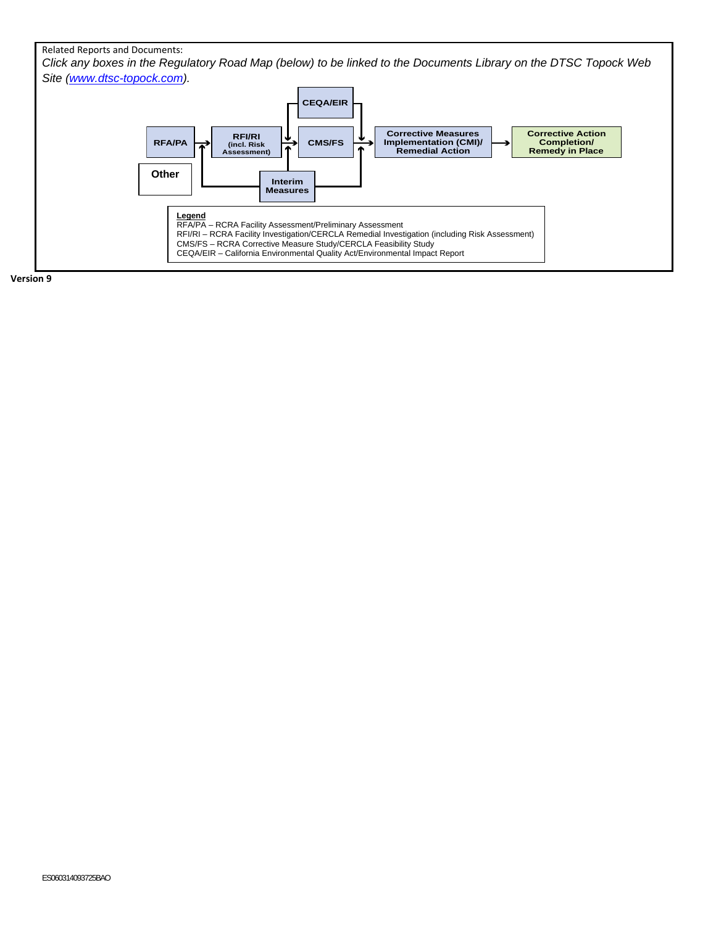#### Related Reports and Documents:

*Click any boxes in the Regulatory Road Map (below) to be linked to the Documents Library on the DTSC Topock Web Site (www.dtsc-topock.com).* 



**Version 9**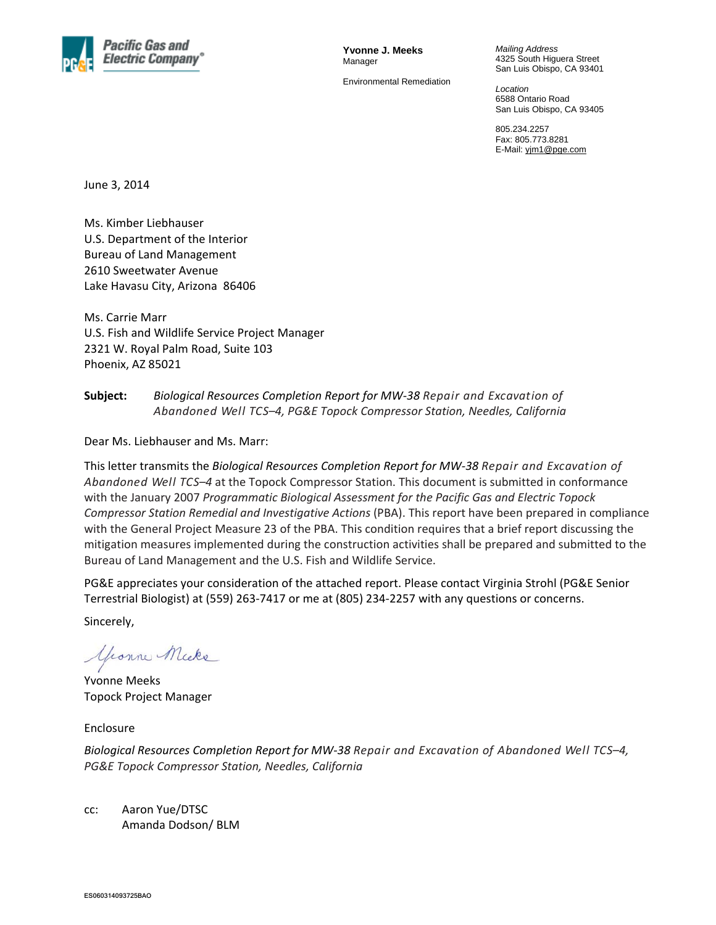

**Yvonne J. Meeks**  Manager

Environmental Remediation

*Mailing Address*  4325 South Higuera Street San Luis Obispo, CA 93401

*Location*  6588 Ontario Road San Luis Obispo, CA 93405

805.234.2257 Fax: 805.773.8281 E-Mail: yjm1@pge.com

June 3, 2014

Ms. Kimber Liebhauser U.S. Department of the Interior Bureau of Land Management 2610 Sweetwater Avenue Lake Havasu City, Arizona 86406

Ms. Carrie Marr U.S. Fish and Wildlife Service Project Manager 2321 W. Royal Palm Road, Suite 103 Phoenix, AZ 85021

#### **Subject:** *Biological Resources Completion Report for MW‐38 Repair and Excavation of Abandoned Well TCS–4, PG&E Topock Compressor Station, Needles, California*

Dear Ms. Liebhauser and Ms. Marr:

This letter transmits the *Biological Resources Completion Report for MW‐38 Repair and Excavation of Abandoned Well TCS–4* at the Topock Compressor Station. This document is submitted in conformance with the January 2007 *Programmatic Biological Assessment for the Pacific Gas and Electric Topock Compressor Station Remedial and Investigative Actions* (PBA). This report have been prepared in compliance with the General Project Measure 23 of the PBA. This condition requires that a brief report discussing the mitigation measures implemented during the construction activities shall be prepared and submitted to the Bureau of Land Management and the U.S. Fish and Wildlife Service.

PG&E appreciates your consideration of the attached report. Please contact Virginia Strohl (PG&E Senior Terrestrial Biologist) at (559) 263‐7417 or me at (805) 234‐2257 with any questions or concerns.

Sincerely,

youne Micke

Yvonne Meeks Topock Project Manager

Enclosure

*Biological Resources Completion Report for MW‐38 Repair and Excavation of Abandoned Well TCS–4, PG&E Topock Compressor Station, Needles, California*

cc: Aaron Yue/DTSC Amanda Dodson/ BLM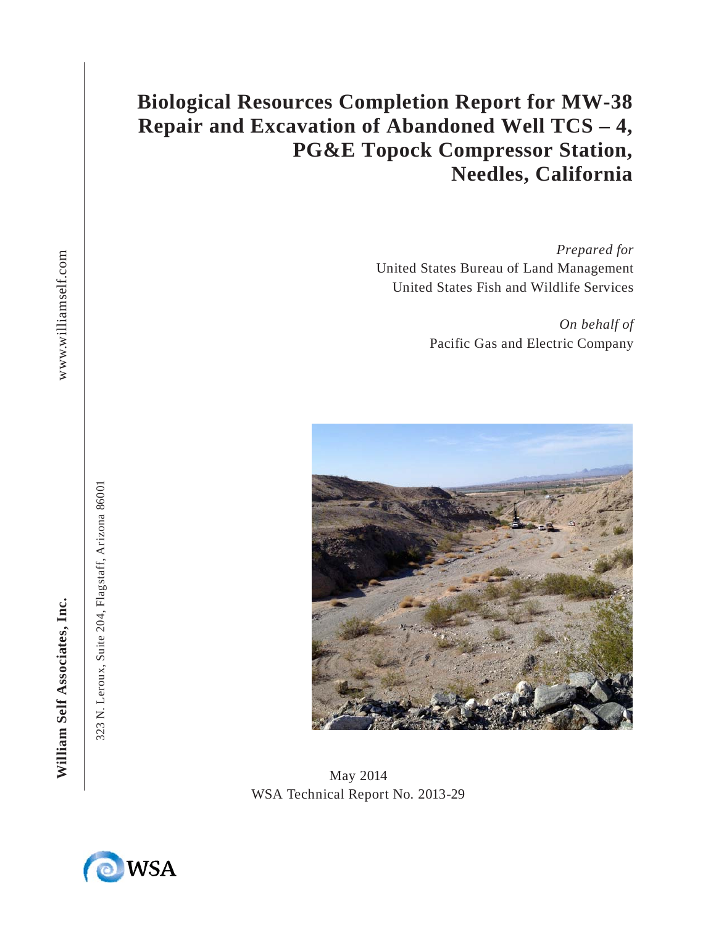## **Biological Resources Completion Report for MW-38 Repair and Excavation of Abandoned Well TCS – 4, PG&E Topock Compressor Station, Needles, California**

*Prepared for*  United States Bureau of Land Management United States Fish and Wildlife Services

> *On behalf of* Pacific Gas and Electric Company



May 2014 WSA Technical Report No. 2013-29



William Self Associates, Inc.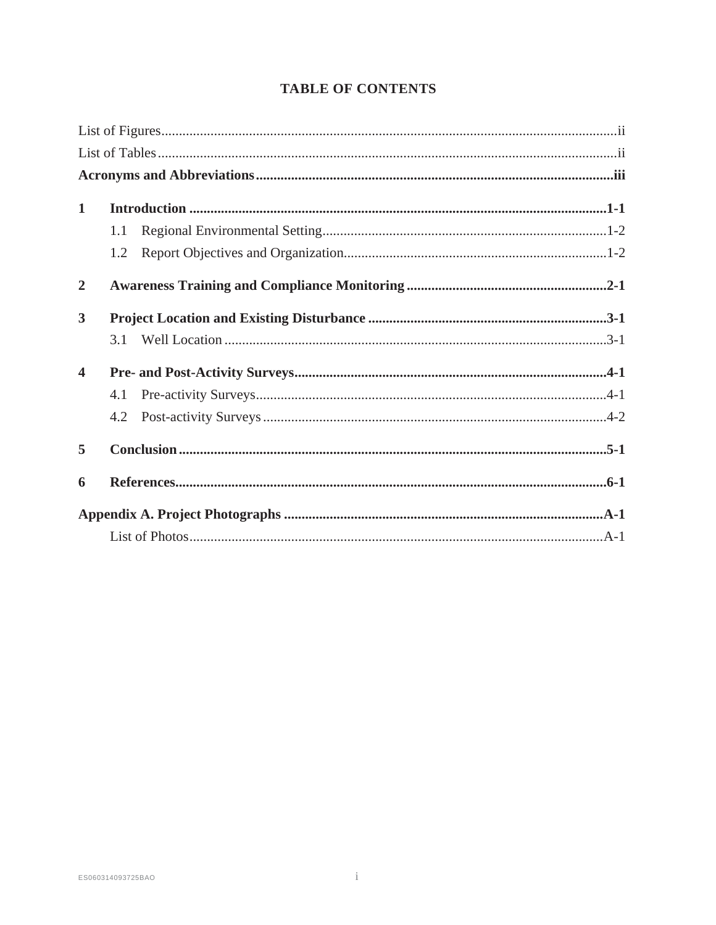| $\mathbf{1}$            |     |  |
|-------------------------|-----|--|
|                         | 1.1 |  |
|                         | 1.2 |  |
| $\overline{2}$          |     |  |
| $\overline{\mathbf{3}}$ |     |  |
|                         | 3.1 |  |
| $\overline{\mathbf{4}}$ |     |  |
|                         | 4.1 |  |
|                         | 4.2 |  |
| 5                       |     |  |
| 6                       |     |  |
|                         |     |  |
|                         |     |  |

#### **TABLE OF CONTENTS**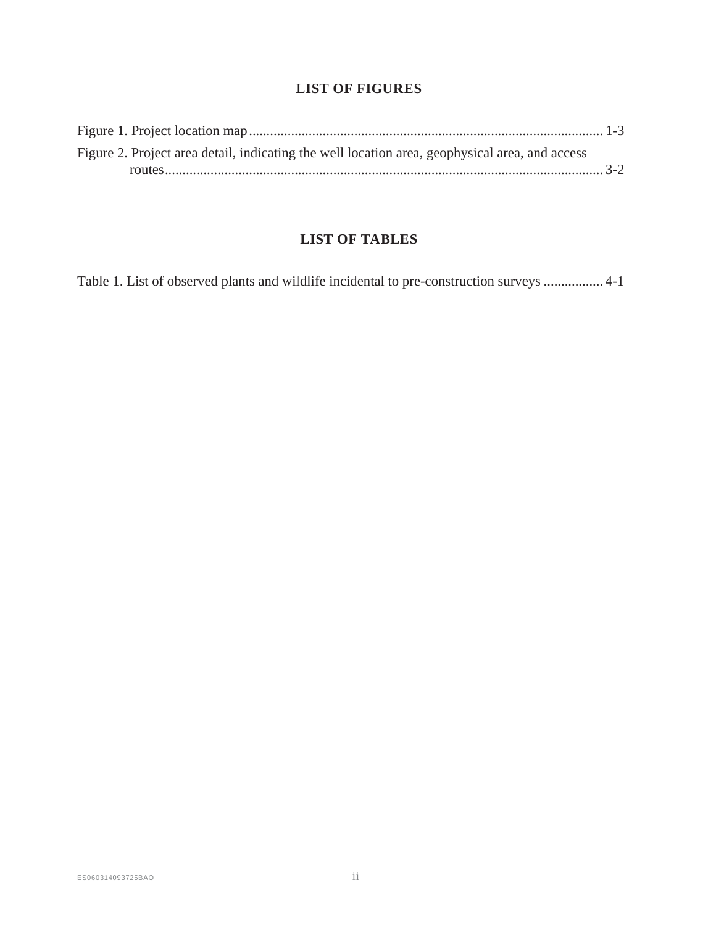#### **LIST OF FIGURES OF FIGURES**

| Figure 2. Project area detail, indicating the well location area, geophysical area, and access |  |
|------------------------------------------------------------------------------------------------|--|
|                                                                                                |  |

#### **LIST OF TABLES OF**

| Table 1. List of observed plants and wildlife incidental to pre-construction surveys  4-1 |  |
|-------------------------------------------------------------------------------------------|--|
|                                                                                           |  |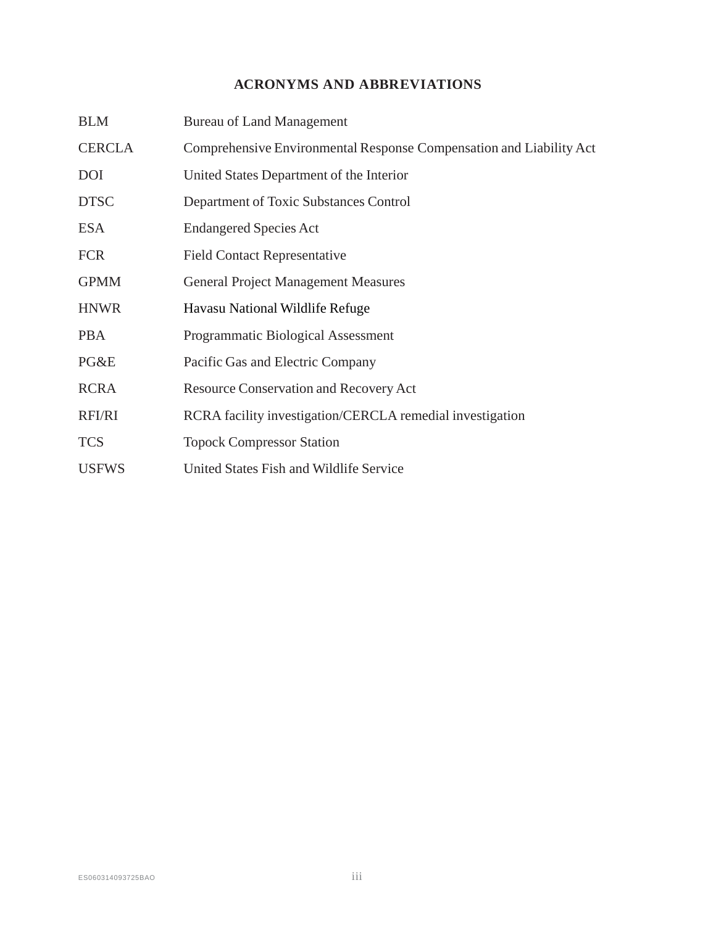### **ACRONYMS AND ABBREVIATIONS**

| <b>BLM</b>    | <b>Bureau of Land Management</b>                                    |
|---------------|---------------------------------------------------------------------|
| <b>CERCLA</b> | Comprehensive Environmental Response Compensation and Liability Act |
| <b>DOI</b>    | United States Department of the Interior                            |
| <b>DTSC</b>   | Department of Toxic Substances Control                              |
| <b>ESA</b>    | <b>Endangered Species Act</b>                                       |
| <b>FCR</b>    | <b>Field Contact Representative</b>                                 |
| <b>GPMM</b>   | <b>General Project Management Measures</b>                          |
| <b>HNWR</b>   | Havasu National Wildlife Refuge                                     |
| <b>PBA</b>    | Programmatic Biological Assessment                                  |
| PG&E          | Pacific Gas and Electric Company                                    |
| <b>RCRA</b>   | <b>Resource Conservation and Recovery Act</b>                       |
| RFI/RI        | RCRA facility investigation/CERCLA remedial investigation           |
| <b>TCS</b>    | <b>Topock Compressor Station</b>                                    |
| <b>USFWS</b>  | United States Fish and Wildlife Service                             |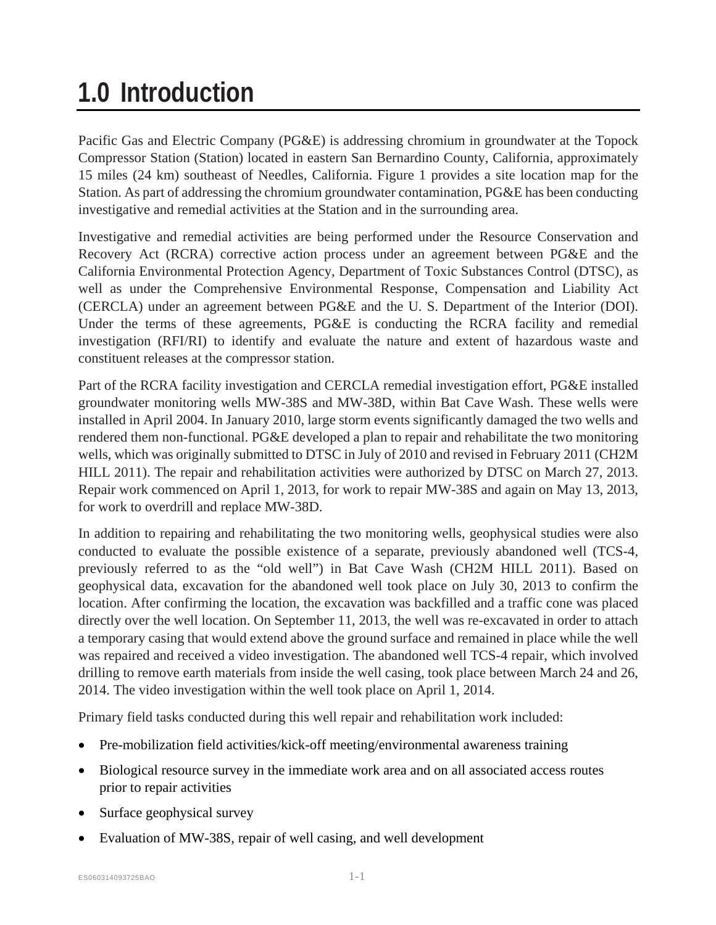# **1.0 Introduction**

Pacific Gas and Electric Company (PG&E) is addressing chromium in groundwater at the Topock Compressor Station (Station) located in eastern San Bernardino County, California, approximately 15 miles (24 km) southeast of Needles, California. Figure 1 provides a site location map for the Station. As part of addressing the chromium groundwater contamination, PG&E has been conducting investigative and remedial activities at the Station and in the surrounding area.

Investigative and remedial activities are being performed under the Resource Conservation and Recovery Act (RCRA) corrective action process under an agreement between PG&E and the California Environmental Protection Agency, Department of Toxic Substances Control (DTSC), as well as under the Comprehensive Environmental Response, Compensation and Liability Act (CERCLA) under an agreement between PG&E and the U. S. Department of the Interior (DOI). Under the terms of these agreements, PG&E is conducting the RCRA facility and remedial investigation (RFI/RI) to identify and evaluate the nature and extent of hazardous waste and constituent releases at the compressor station.

Part of the RCRA facility investigation and CERCLA remedial investigation effort, PG&E installed groundwater monitoring wells MW-38S and MW-38D, within Bat Cave Wash. These wells were installed in April 2004. In January 2010, large storm events significantly damaged the two wells and rendered them non-functional. PG&E developed a plan to repair and rehabilitate the two monitoring wells, which was originally submitted to DTSC in July of 2010 and revised in February 2011 (CH2M HILL 2011). The repair and rehabilitation activities were authorized by DTSC on March 27, 2013. Repair work commenced on April 1, 2013, for work to repair MW-38S and again on May 13, 2013, for work to overdrill and replace MW-38D.

In addition to repairing and rehabilitating the two monitoring wells, geophysical studies were also conducted to evaluate the possible existence of a separate, previously abandoned well (TCS-4, previously referred to as the "old well") in Bat Cave Wash (CH2M HILL 2011). Based on geophysical data, excavation for the abandoned well took place on July 30, 2013 to confirm the location. After confirming the location, the excavation was backfilled and a traffic cone was placed directly over the well location. On September 11, 2013, the well was re-excavated in order to attach a temporary casing that would extend above the ground surface and remained in place while the well was repaired and received a video investigation. The abandoned well TCS-4 repair, which involved drilling to remove earth materials from inside the well casing, took place between March 24 and 26, 2014. The video investigation within the well took place on April 1, 2014.

Primary field tasks conducted during this well repair and rehabilitation work included:

- Pre-mobilization field activities/kick-off meeting/environmental awareness training
- Biological resource survey in the immediate work area and on all associated access routes prior to repair activities
- Surface geophysical survey
- Evaluation of MW-38S, repair of well casing, and well development

ES060314093725BAO 1-1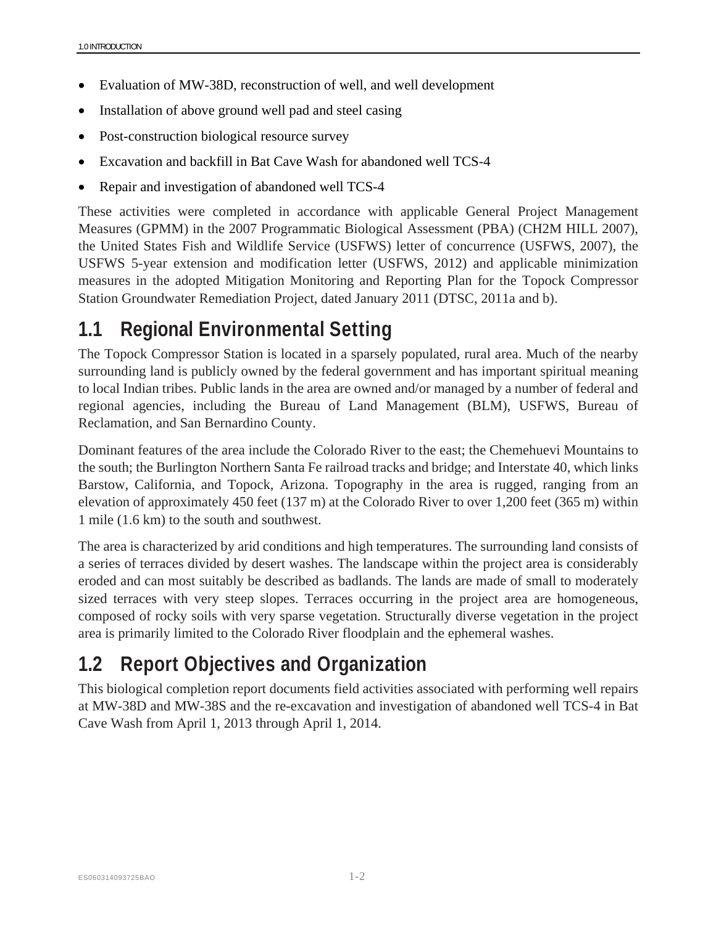- Evaluation of MW-38D, reconstruction of well, and well development
- Installation of above ground well pad and steel casing
- Post-construction biological resource survey
- Excavation and backfill in Bat Cave Wash for abandoned well TCS-4
- Repair and investigation of abandoned well TCS-4

These activities were completed in accordance with applicable General Project Management Measures (GPMM) in the 2007 Programmatic Biological Assessment (PBA) (CH2M HILL 2007), the United States Fish and Wildlife Service (USFWS) letter of concurrence (USFWS, 2007), the USFWS 5-year extension and modification letter (USFWS, 2012) and applicable minimization measures in the adopted Mitigation Monitoring and Reporting Plan for the Topock Compressor Station Groundwater Remediation Project, dated January 2011 (DTSC, 2011a and b).

## **1.1 Regional Environmental Setting**

The Topock Compressor Station is located in a sparsely populated, rural area. Much of the nearby surrounding land is publicly owned by the federal government and has important spiritual meaning to local Indian tribes. Public lands in the area are owned and/or managed by a number of federal and regional agencies, including the Bureau of Land Management (BLM), USFWS, Bureau of Reclamation, and San Bernardino County.

Dominant features of the area include the Colorado River to the east; the Chemehuevi Mountains to the south; the Burlington Northern Santa Fe railroad tracks and bridge; and Interstate 40, which links Barstow, California, and Topock, Arizona. Topography in the area is rugged, ranging from an elevation of approximately 450 feet (137 m) at the Colorado River to over 1,200 feet (365 m) within 1 mile (1.6 km) to the south and southwest.

The area is characterized by arid conditions and high temperatures. The surrounding land consists of a series of terraces divided by desert washes. The landscape within the project area is considerably eroded and can most suitably be described as badlands. The lands are made of small to moderately sized terraces with very steep slopes. Terraces occurring in the project area are homogeneous, composed of rocky soils with very sparse vegetation. Structurally diverse vegetation in the project area is primarily limited to the Colorado River floodplain and the ephemeral washes.

## **1.2 Report Objectives and Organization**

This biological completion report documents field activities associated with performing well repairs at MW-38D and MW-38S and the re-excavation and investigation of abandoned well TCS-4 in Bat Cave Wash from April 1, 2013 through April 1, 2014.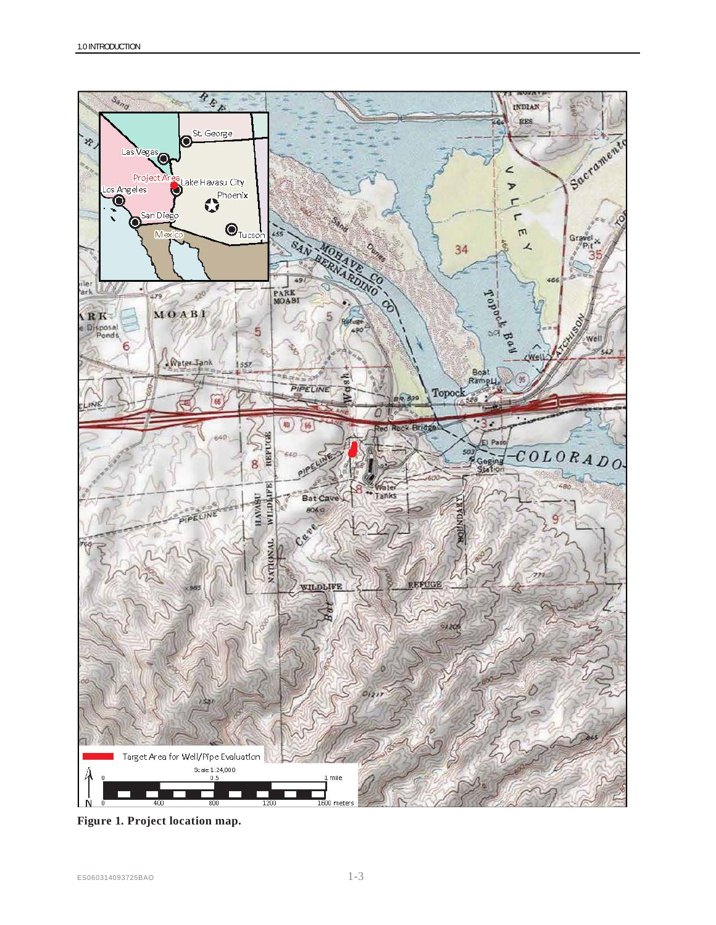

**Figure 1. Project location map.**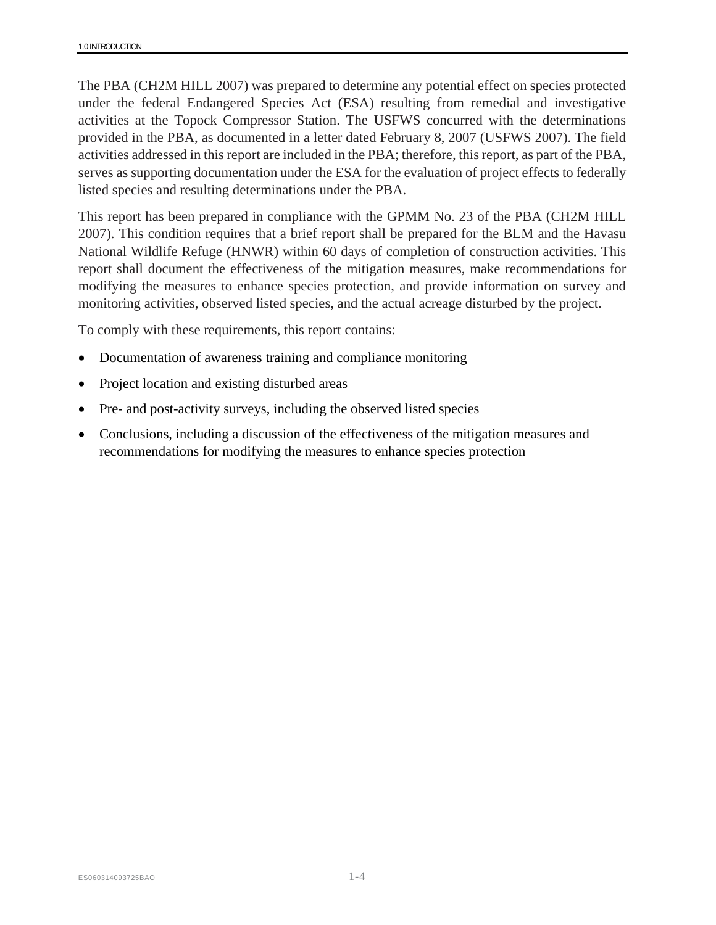The PBA (CH2M HILL 2007) was prepared to determine any potential effect on species protected under the federal Endangered Species Act (ESA) resulting from remedial and investigative activities at the Topock Compressor Station. The USFWS concurred with the determinations provided in the PBA, as documented in a letter dated February 8, 2007 (USFWS 2007). The field activities addressed in this report are included in the PBA; therefore, this report, as part of the PBA, serves as supporting documentation under the ESA for the evaluation of project effects to federally listed species and resulting determinations under the PBA.

This report has been prepared in compliance with the GPMM No. 23 of the PBA (CH2M HILL 2007). This condition requires that a brief report shall be prepared for the BLM and the Havasu National Wildlife Refuge (HNWR) within 60 days of completion of construction activities. This report shall document the effectiveness of the mitigation measures, make recommendations for modifying the measures to enhance species protection, and provide information on survey and monitoring activities, observed listed species, and the actual acreage disturbed by the project.

To comply with these requirements, this report contains:

- Documentation of awareness training and compliance monitoring
- Project location and existing disturbed areas
- Pre- and post-activity surveys, including the observed listed species
- Conclusions, including a discussion of the effectiveness of the mitigation measures and recommendations for modifying the measures to enhance species protection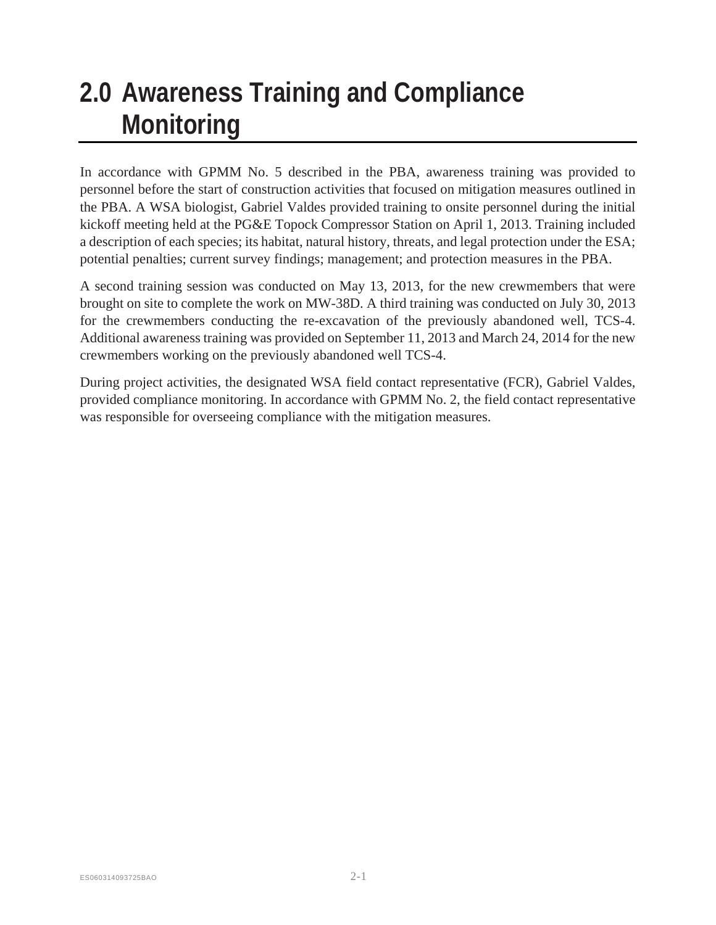# **2.0 Awareness Training and Compliance Monitoring**

In accordance with GPMM No. 5 described in the PBA, awareness training was provided to personnel before the start of construction activities that focused on mitigation measures outlined in the PBA. A WSA biologist, Gabriel Valdes provided training to onsite personnel during the initial kickoff meeting held at the PG&E Topock Compressor Station on April 1, 2013. Training included a description of each species; its habitat, natural history, threats, and legal protection under the ESA; potential penalties; current survey findings; management; and protection measures in the PBA.

A second training session was conducted on May 13, 2013, for the new crewmembers that were brought on site to complete the work on MW-38D. A third training was conducted on July 30, 2013 for the crewmembers conducting the re-excavation of the previously abandoned well, TCS-4. Additional awareness training was provided on September 11, 2013 and March 24, 2014 for the new crewmembers working on the previously abandoned well TCS-4.

During project activities, the designated WSA field contact representative (FCR), Gabriel Valdes, provided compliance monitoring. In accordance with GPMM No. 2, the field contact representative was responsible for overseeing compliance with the mitigation measures.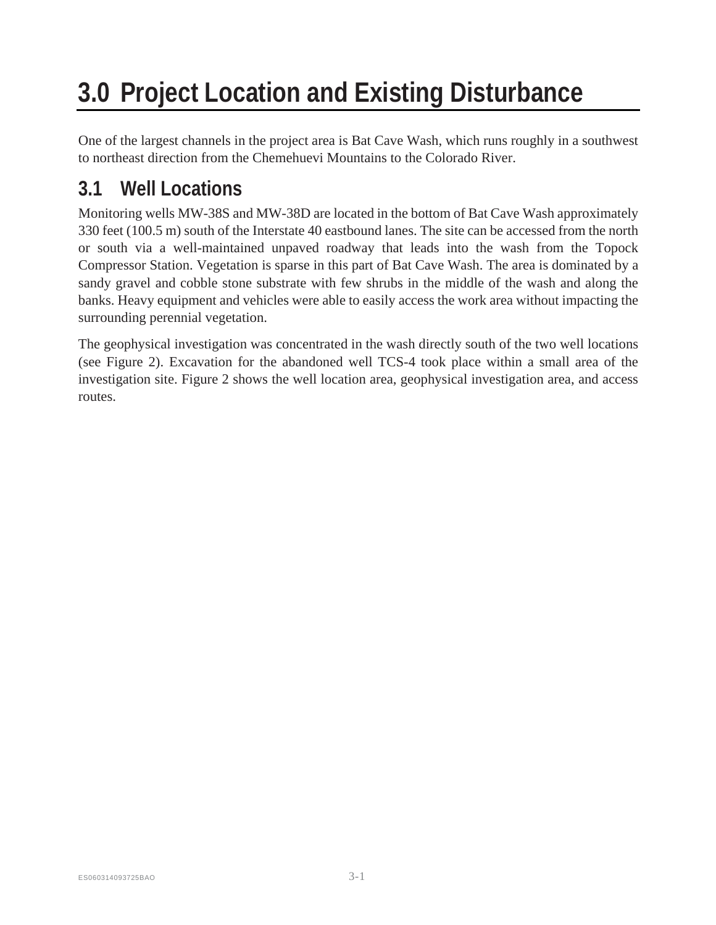# **3.0 Project Location and Existing Disturbance**

One of the largest channels in the project area is Bat Cave Wash, which runs roughly in a southwest to northeast direction from the Chemehuevi Mountains to the Colorado River.

## **3.1 Well Locations**

Monitoring wells MW-38S and MW-38D are located in the bottom of Bat Cave Wash approximately 330 feet (100.5 m) south of the Interstate 40 eastbound lanes. The site can be accessed from the north or south via a well-maintained unpaved roadway that leads into the wash from the Topock Compressor Station. Vegetation is sparse in this part of Bat Cave Wash. The area is dominated by a sandy gravel and cobble stone substrate with few shrubs in the middle of the wash and along the banks. Heavy equipment and vehicles were able to easily access the work area without impacting the surrounding perennial vegetation.

The geophysical investigation was concentrated in the wash directly south of the two well locations (see Figure 2). Excavation for the abandoned well TCS-4 took place within a small area of the investigation site. Figure 2 shows the well location area, geophysical investigation area, and access routes.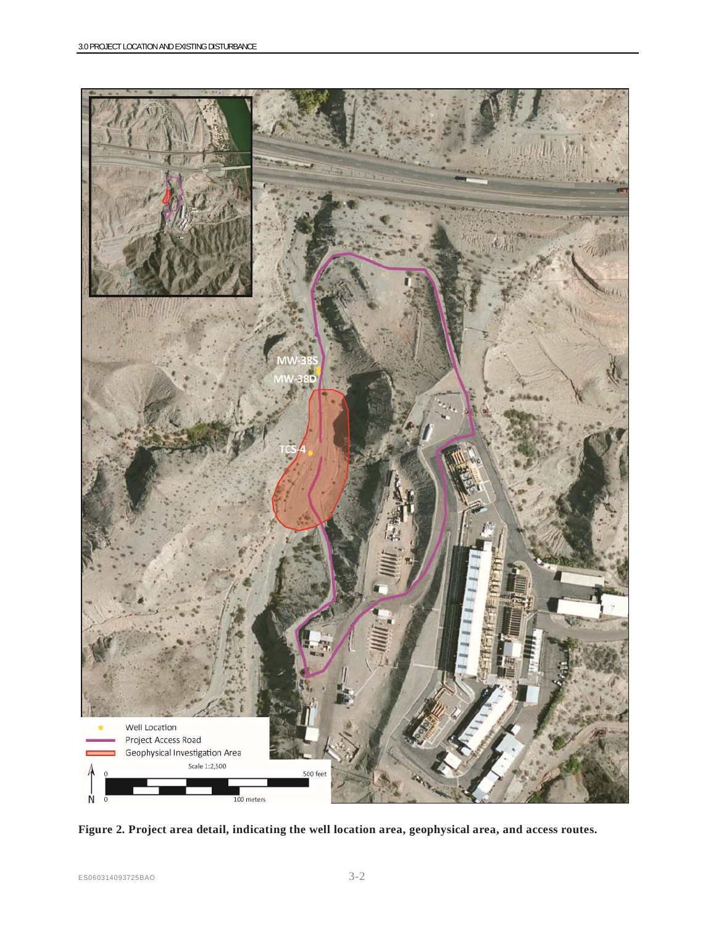

**Figure 2. Project area detail, indicating the well location area, geophysical area, and access routes.**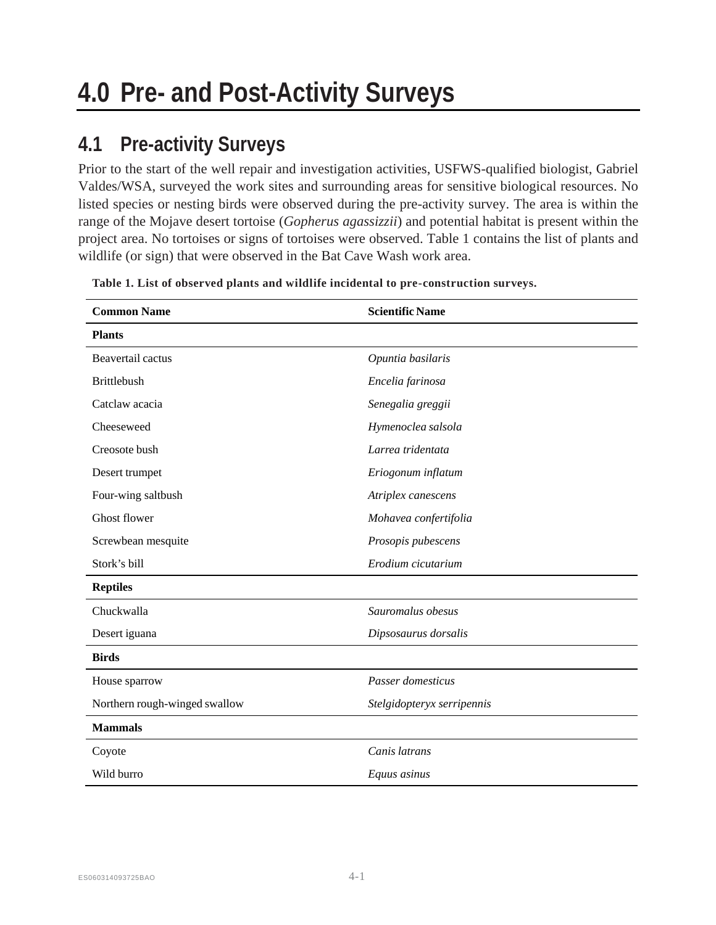## **4.1 Pre-activity Surveys**

Prior to the start of the well repair and investigation activities, USFWS-qualified biologist, Gabriel Valdes/WSA, surveyed the work sites and surrounding areas for sensitive biological resources. No listed species or nesting birds were observed during the pre-activity survey. The area is within the range of the Mojave desert tortoise (*Gopherus agassizzii*) and potential habitat is present within the project area. No tortoises or signs of tortoises were observed. Table 1 contains the list of plants and wildlife (or sign) that were observed in the Bat Cave Wash work area.

| <b>Common Name</b>            | <b>Scientific Name</b>     |  |  |
|-------------------------------|----------------------------|--|--|
| <b>Plants</b>                 |                            |  |  |
| Beavertail cactus             | Opuntia basilaris          |  |  |
| <b>Brittlebush</b>            | Encelia farinosa           |  |  |
| Catclaw acacia                | Senegalia greggii          |  |  |
| Cheeseweed                    | Hymenoclea salsola         |  |  |
| Creosote bush                 | Larrea tridentata          |  |  |
| Desert trumpet                | Eriogonum inflatum         |  |  |
| Four-wing saltbush            | Atriplex canescens         |  |  |
| <b>Ghost flower</b>           | Mohavea confertifolia      |  |  |
| Screwbean mesquite            | Prosopis pubescens         |  |  |
| Stork's bill                  | Erodium cicutarium         |  |  |
| <b>Reptiles</b>               |                            |  |  |
| Chuckwalla                    | Sauromalus obesus          |  |  |
| Desert iguana                 | Dipsosaurus dorsalis       |  |  |
| <b>Birds</b>                  |                            |  |  |
| House sparrow                 | Passer domesticus          |  |  |
| Northern rough-winged swallow | Stelgidopteryx serripennis |  |  |
| <b>Mammals</b>                |                            |  |  |
| Coyote                        | Canis latrans              |  |  |
| Wild burro                    | Equus asinus               |  |  |

**Table 1. List of observed plants and wildlife incidental to pre -construction surveys.**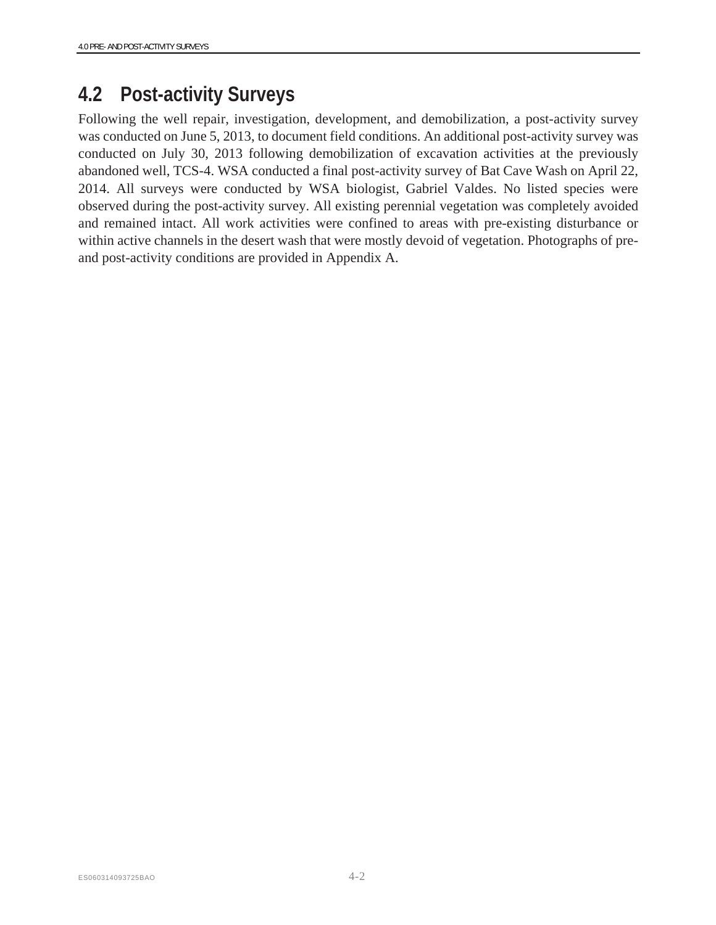### **4.2 Post-activity Surveys**

Following the well repair, investigation, development, and demobilization, a post-activity survey was conducted on June 5, 2013, to document field conditions. An additional post-activity survey was conducted on July 30, 2013 following demobilization of excavation activities at the previously abandoned well, TCS-4. WSA conducted a final post-activity survey of Bat Cave Wash on April 22, 2014. All surveys were conducted by WSA biologist, Gabriel Valdes. No listed species were observed during the post-activity survey. All existing perennial vegetation was completely avoided and remained intact. All work activities were confined to areas with pre-existing disturbance or within active channels in the desert wash that were mostly devoid of vegetation. Photographs of preand post-activity conditions are provided in Appendix A.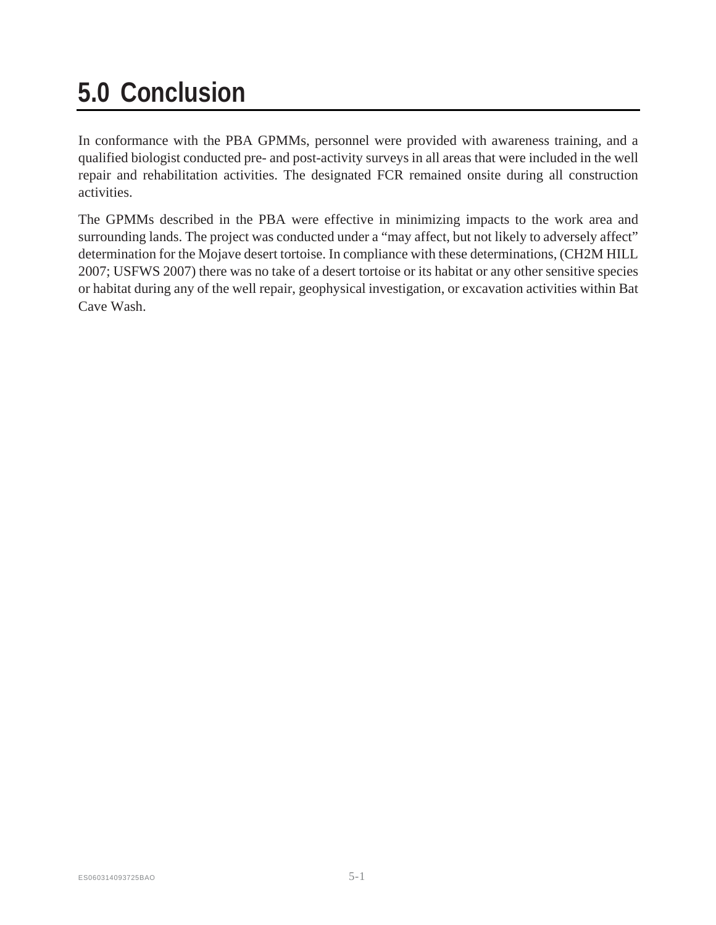# **5.0 Conclusion**

In conformance with the PBA GPMMs, personnel were provided with awareness training, and a qualified biologist conducted pre- and post-activity surveys in all areas that were included in the well repair and rehabilitation activities. The designated FCR remained onsite during all construction activities.

The GPMMs described in the PBA were effective in minimizing impacts to the work area and surrounding lands. The project was conducted under a "may affect, but not likely to adversely affect" determination for the Mojave desert tortoise. In compliance with these determinations, (CH2M HILL 2007; USFWS 2007) there was no take of a desert tortoise or its habitat or any other sensitive species or habitat during any of the well repair, geophysical investigation, or excavation activities within Bat Cave Wash.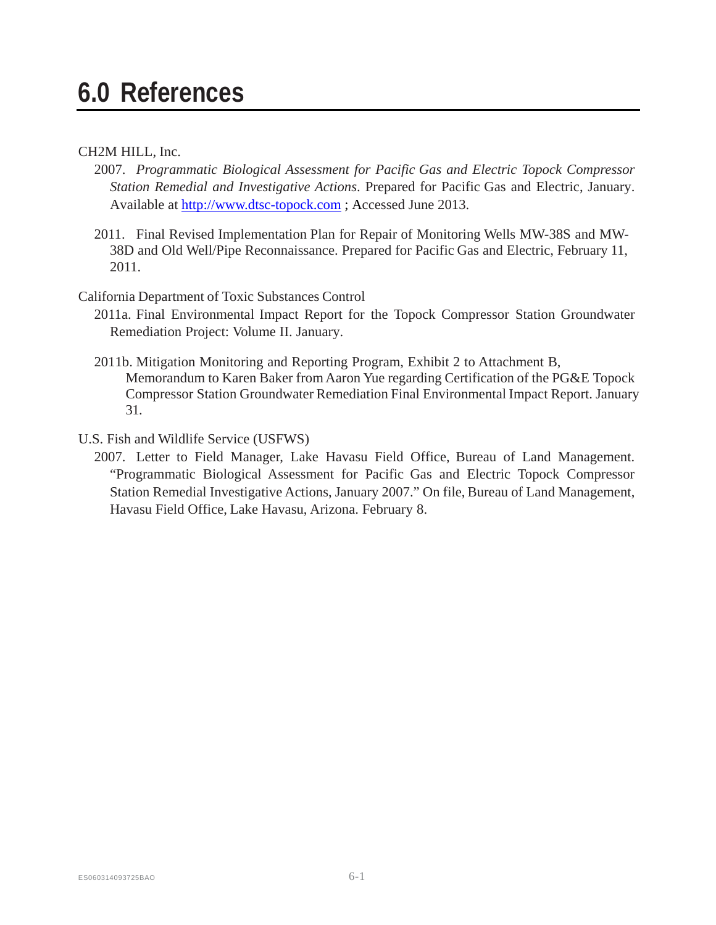# **6.0 References**

#### CH2M HILL, Inc.

- 2007. *Programmatic Biological Assessment for Pacific Gas and Electric Topock Compressor Station Remedial and Investigative Actions*. Prepared for Pacific Gas and Electric, January. Available at http://www.dtsc-topock.com ; Accessed June 2013.
- 2011. Final Revised Implementation Plan for Repair of Monitoring Wells MW-38S and MW-38D and Old Well/Pipe Reconnaissance. Prepared for Pacific Gas and Electric, February 11, 2011.

California Department of Toxic Substances Control

- 2011a. Final Environmental Impact Report for the Topock Compressor Station Groundwater Remediation Project: Volume II. January.
- 2011b. Mitigation Monitoring and Reporting Program, Exhibit 2 to Attachment B, Memorandum to Karen Baker from Aaron Yue regarding Certification of the PG&E Topock Compressor Station Groundwater Remediation Final Environmental Impact Report. January 31.
- U.S. Fish and Wildlife Service (USFWS)
	- 2007. Letter to Field Manager, Lake Havasu Field Office, Bureau of Land Management. "Programmatic Biological Assessment for Pacific Gas and Electric Topock Compressor Station Remedial Investigative Actions, January 2007." On file, Bureau of Land Management, Havasu Field Office, Lake Havasu, Arizona. February 8.